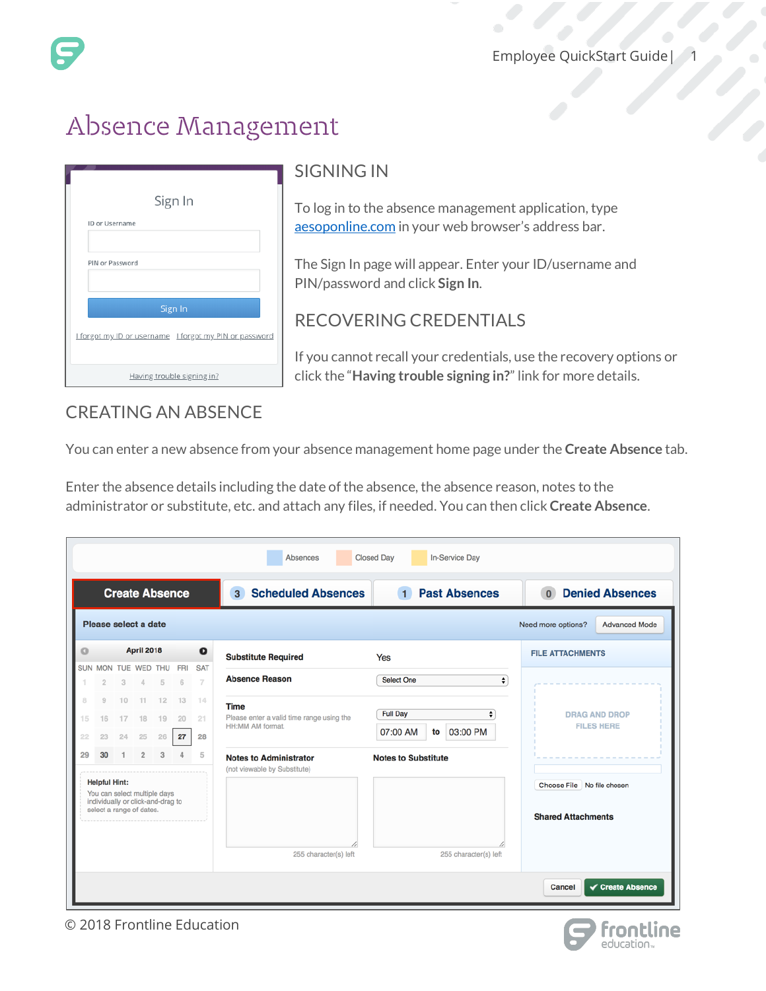# Absence Management

| Sign In                                                |  |  |  |  |  |
|--------------------------------------------------------|--|--|--|--|--|
| ID or Username                                         |  |  |  |  |  |
| PIN or Password                                        |  |  |  |  |  |
| Sign In                                                |  |  |  |  |  |
| I forgot my ID or username I forgot my PIN or password |  |  |  |  |  |
| Having trouble signing in?                             |  |  |  |  |  |

### SIGNING IN

To log in to the absence management application, type [aesoponline.com](http://aesoponline.com/) in your web browser's address bar.

The Sign In page will appear. Enter your ID/username and PIN/password and click **Sign In**.

#### RECOVERING CREDENTIALS

If you cannot recall your credentials, use the recovery options or click the "**Having trouble signing in?**" link for more details.

## CREATING AN ABSENCE

You can enter a new absence from your absence management home page under the **Create Absence** tab.

Enter the absence details including the date of the absence, the absence reason, notes to the administrator or substitute, etc. and attach any files, if needed. You can then click **Create Absence**.

| <b>Closed Day</b><br><b>In-Service Day</b><br><b>Absences</b>                                                         |                                                                    |          |                   |                          |                 |                              |                                                               |                                      |                                                         |
|-----------------------------------------------------------------------------------------------------------------------|--------------------------------------------------------------------|----------|-------------------|--------------------------|-----------------|------------------------------|---------------------------------------------------------------|--------------------------------------|---------------------------------------------------------|
| <b>Create Absence</b>                                                                                                 |                                                                    |          |                   |                          |                 |                              | <b>Scheduled Absences</b><br>3 <sup>1</sup>                   | <b>Past Absences</b><br>$\mathbf{1}$ | <b>Denied Absences</b><br>$\Omega$                      |
|                                                                                                                       | Please select a date<br><b>Advanced Mode</b><br>Need more options? |          |                   |                          |                 |                              |                                                               |                                      |                                                         |
| ο                                                                                                                     |                                                                    |          | <b>April 2018</b> |                          |                 | $\bullet$                    | <b>Substitute Required</b>                                    | Yes                                  | <b>FILE ATTACHMENTS</b>                                 |
|                                                                                                                       | $\circ$                                                            |          |                   | SUN MON TUE WED THU<br>5 | <b>FRI</b><br>6 | <b>SAT</b><br>$\overline{7}$ | <b>Absence Reason</b>                                         | <b>Select One</b><br>$\div$          |                                                         |
| $\mathbb{R}$<br>15                                                                                                    | $\overline{9}$<br>16                                               | 10<br>17 | 11<br>18          | 12<br>19                 | 13<br>20        | 14<br>21                     | <b>Time</b><br>Please enter a valid time range using the      | <b>Full Day</b><br>٠                 | <b>DRAG AND DROP</b><br><b>FILES HERE</b>               |
| 22                                                                                                                    | 23                                                                 | 24       | 25                | 26                       | 27              | 28                           | HH:MM AM format.                                              | 07:00 AM<br>03:00 PM<br>to           |                                                         |
| 29                                                                                                                    | 30                                                                 |          | $\overline{2}$    | 3                        |                 | 5                            | <b>Notes to Administrator</b><br>(not viewable by Substitute) | <b>Notes to Substitute</b>           |                                                         |
| <b>Helpful Hint:</b><br>You can select multiple days<br>individually or click-and-drag to<br>select a range of dates. |                                                                    |          |                   |                          |                 |                              |                                                               |                                      | Choose File No file chosen<br><b>Shared Attachments</b> |
|                                                                                                                       |                                                                    |          |                   |                          |                 |                              | 255 character(s) left                                         | 255 character(s) left                | $\checkmark$ Create Absence<br>Cancel                   |

© 2018 Frontline Education